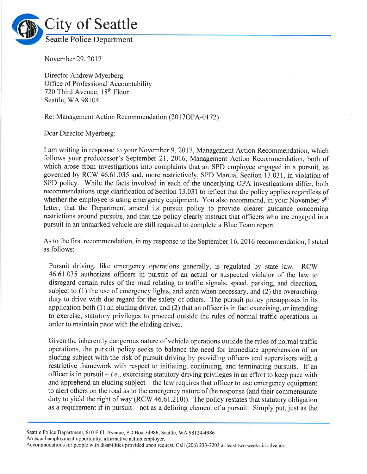

November 29,2017

Director Andrew Myerberg Office of Professional Accountability 720 Third Avenue, 18<sup>th</sup> Floor Seattle, WA 98104

Re: Management Action Recommendation (2017OPA-0172)

Dear Director Myerberg:

I am writing in response to your November 9,2017, Management Action Recommendation, which follows your predecessor's September 21, 2016, Management Action Recommendation, both of which arose from investigations into complaints that an SPD employee engaged in a pursuit, as governed by RCW 46.61.035 and, more restrictively, SPD Manual Section 13.031, in violation of SPD policy. While the facts involved in each of the underlying OPA investigations differ, both recommendations urge clarification of Section 13.031 to reflect that the policy applies regardless of whether the employee is using emergency equipment. You also recommend, in your November 9<sup>th</sup> letter, that the Department amend its pursuit policy to provide clearer guidance concerning restrictions around pursuits, and that the policy clearly instruct that officers who are engaged in <sup>a</sup> pursuit in an unmarked vehicle are still required to complete a Blue Team report.

As to the first recommendation, in my response to the September 16,2016 recommendation, I stated as follows:

Pursuit driving, like emergency operations generally, is regulated by state law. RCW 46.6I.035 authorizes officers in pursuit of an actual or suspected violator of the law to disregard certain rules of the road relating to traffic signals, speed, parking, and direction, subject to (1) the use of emergency lights, and siren when necessary, and (2) the overarching duty to drive with due regard for the safety of others. The pursuit policy presupposes in its application both (1) an eluding driver, and (2) that an officer is in fact exercising, or intending to exercise, statutory privileges to proceed outside the rules of normal traffic operations in order to maintain pace with the eluding driver.

Given the inherently dangerous nature of vehicle operations outside the rules of normal traffic operations, the pursuit policy seeks to balance the need for immediate apprehension of an eluding subject with the risk of pursuit driving by providing officers and supervisors with <sup>a</sup> restrictive framework with respect to initiating, continuing, and terminating pursuits. If an officer is in pursuit  $-i.e.,$  exercising statutory driving privileges in an effort to keep pace with and apprehend an eluding subject  $-$  the law requires that officer to use emergency equipment to alert others on the road as to the emergency nature of the response (and their commensurate duty to yield the right of way (RCW 46.61.210)). The policy restates that statutory obligation as a requirement if in pursuit  $-$  not as a defining element of a pursuit. Simply put, just as the